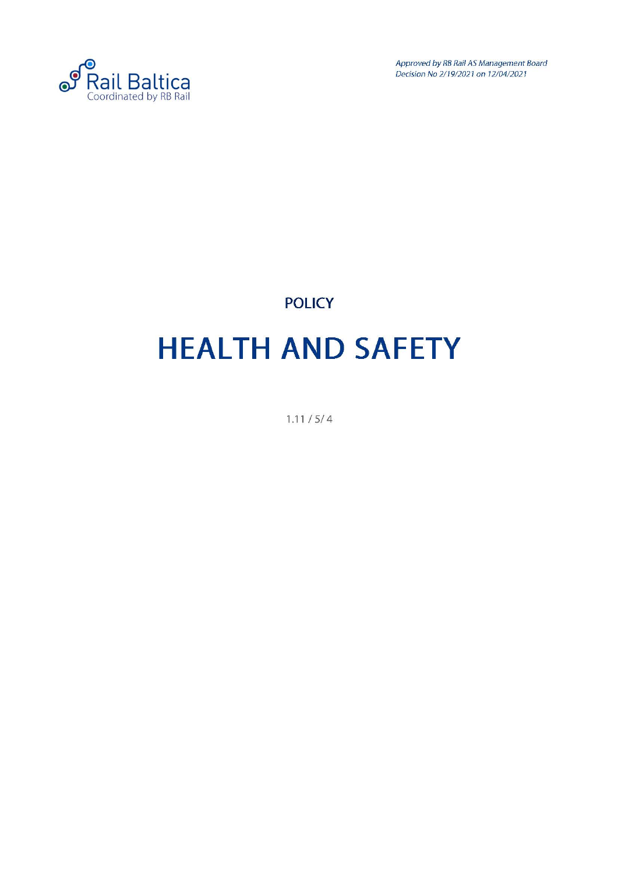

Approved by RB Rail AS Management Board Decision No 2/19/2021 on 12/04/2021

### **POLICY HEALTH AND SAFETY**

1.11 / 5/ 4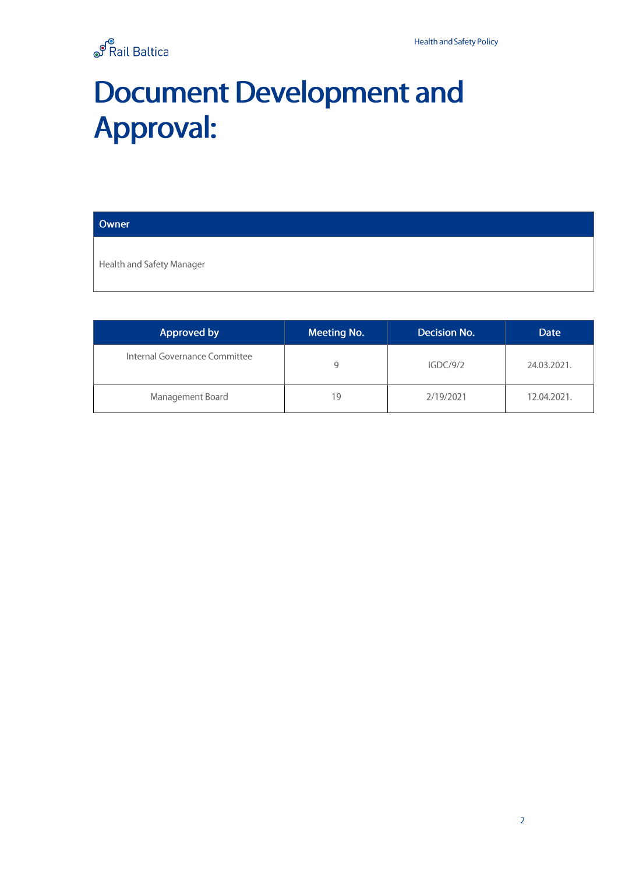

### **Document Development and Approval:**

| Owner |  |
|-------|--|
|       |  |

Health and Safety Manager

| Approved by                   | <b>Meeting No.</b> | Decision No. | Date        |
|-------------------------------|--------------------|--------------|-------------|
| Internal Governance Committee | 9                  | IGDC/9/2     | 24.03.2021. |
| Management Board              | 19                 | 2/19/2021    | 12.04.2021. |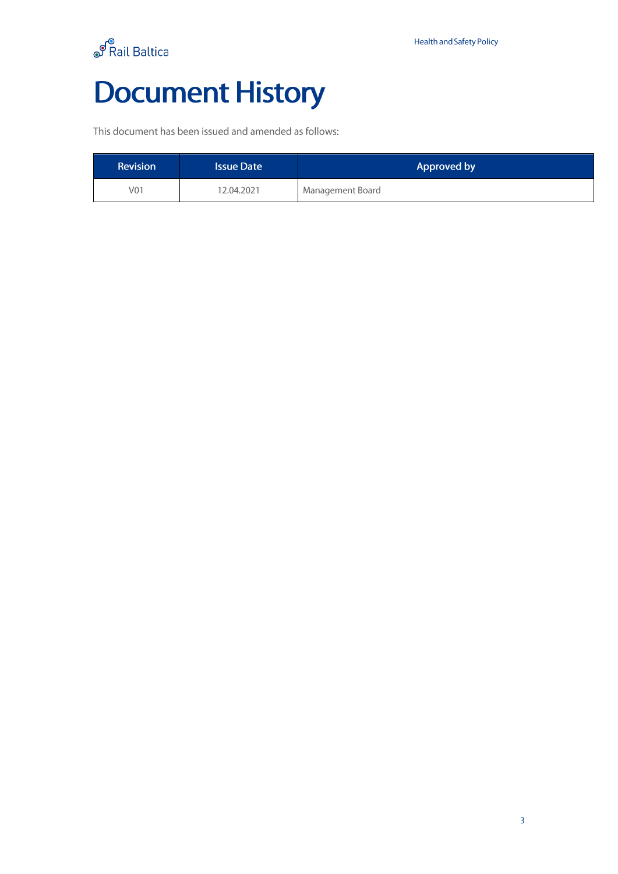

## **Document History**

This document has been issued and amended as follows:

| <b>Revision</b> | <b>Issue Date</b> | Approved by      |
|-----------------|-------------------|------------------|
| V01             | 12.04.2021        | Management Board |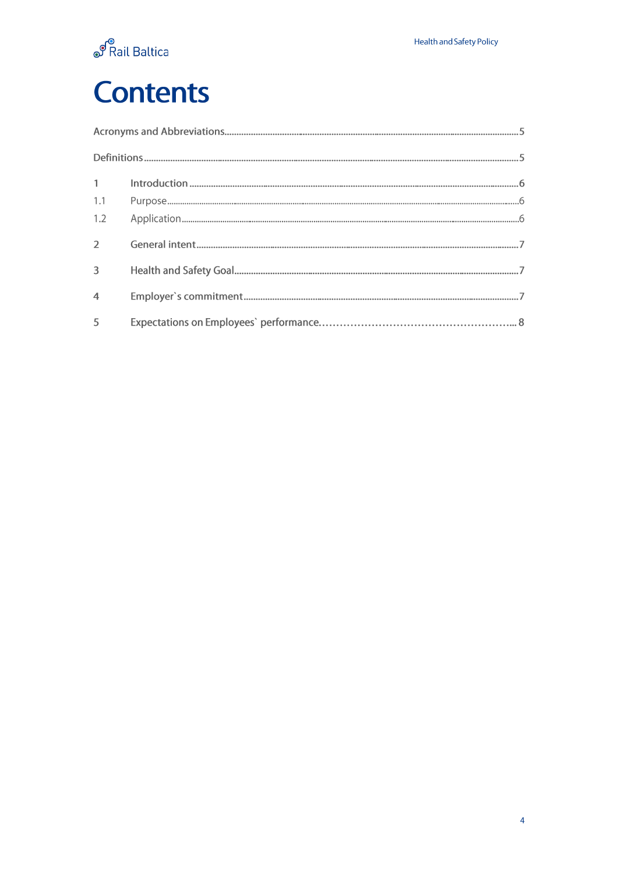

## **Contents**

| $1 \quad \blacksquare$   |  |
|--------------------------|--|
| 1.1                      |  |
| 1.2                      |  |
| $\overline{2}$           |  |
| 3                        |  |
| $\overline{4}$           |  |
| $\overline{\phantom{a}}$ |  |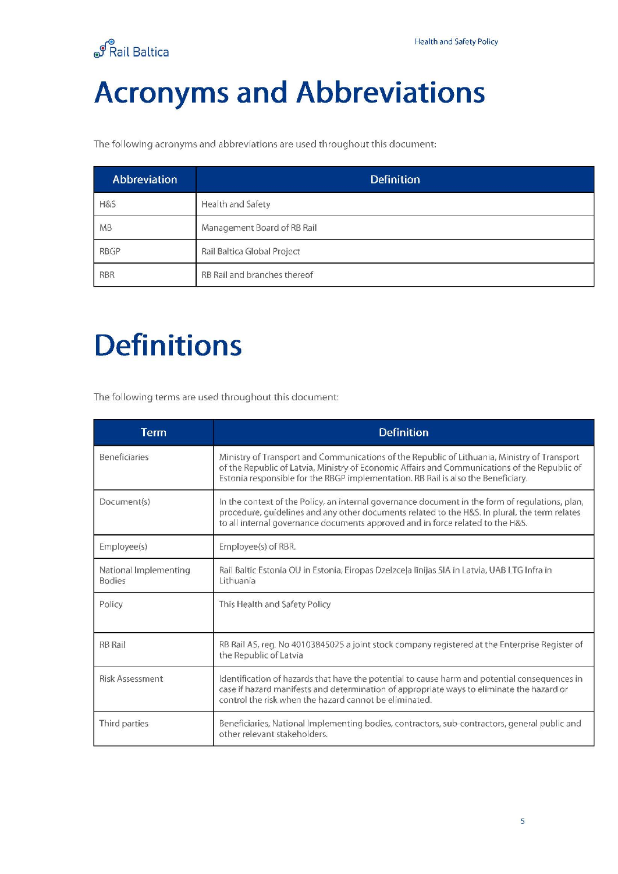

### <span id="page-4-0"></span>**Acronyms and Abbreviations**

The following acronyms and abbreviations are used throughout this document:

| Abbreviation | <b>Definition</b>            |
|--------------|------------------------------|
| H&S          | Health and Safety            |
| <b>MB</b>    | Management Board of RB Rail  |
| <b>RBGP</b>  | Rail Baltica Global Project  |
| <b>RBR</b>   | RB Rail and branches thereof |

### <span id="page-4-1"></span>**Definitions**

The following terms are used throughout this document:

| <b>Term</b>                            | <b>Definition</b>                                                                                                                                                                                                                                                                  |
|----------------------------------------|------------------------------------------------------------------------------------------------------------------------------------------------------------------------------------------------------------------------------------------------------------------------------------|
| <b>Beneficiaries</b>                   | Ministry of Transport and Communications of the Republic of Lithuania, Ministry of Transport<br>of the Republic of Latvia, Ministry of Economic Affairs and Communications of the Republic of<br>Estonia responsible for the RBGP implementation. RB Rail is also the Beneficiary. |
| Document(s)                            | In the context of the Policy, an internal governance document in the form of requlations, plan,<br>procedure, guidelines and any other documents related to the H&S. In plural, the term relates<br>to all internal governance documents approved and in force related to the H&S. |
| Employee(s)                            | Employee(s) of RBR.                                                                                                                                                                                                                                                                |
| National Implementing<br><b>Bodies</b> | Rail Baltic Estonia OU in Estonia, Eiropas Dzelzcela līnijas SIA in Latvia, UAB LTG Infra in<br>Lithuania                                                                                                                                                                          |
| Policy                                 | This Health and Safety Policy                                                                                                                                                                                                                                                      |
| <b>RB Rail</b>                         | RB Rail AS, reg. No 40103845025 a joint stock company registered at the Enterprise Register of<br>the Republic of Latvia                                                                                                                                                           |
| <b>Risk Assessment</b>                 | Identification of hazards that have the potential to cause harm and potential consequences in<br>case if hazard manifests and determination of appropriate ways to eliminate the hazard or<br>control the risk when the hazard cannot be eliminated.                               |
| Third parties                          | Beneficiaries, National Implementing bodies, contractors, sub-contractors, general public and<br>other relevant stakeholders.                                                                                                                                                      |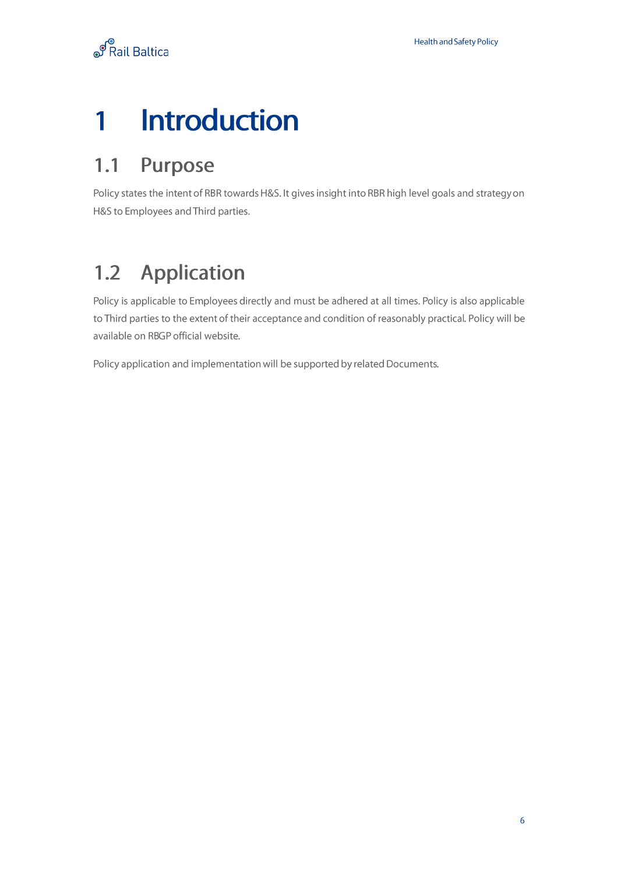## <span id="page-5-0"></span>**1 Introduction**

#### <span id="page-5-1"></span>**1.1 Purpose**

Policy states the intent of RBR towards H&S. It gives insight into RBR high level goals and strategy on H&S to Employees and Third parties.

#### <span id="page-5-2"></span>**1.2 Application**

Policy is applicable to Employees directly and must be adhered at all times. Policy is also applicable to Third parties to the extent of their acceptance and condition of reasonably practical. Policy will be available on RBGP official website.

Policy application and implementation will be supported by related Documents.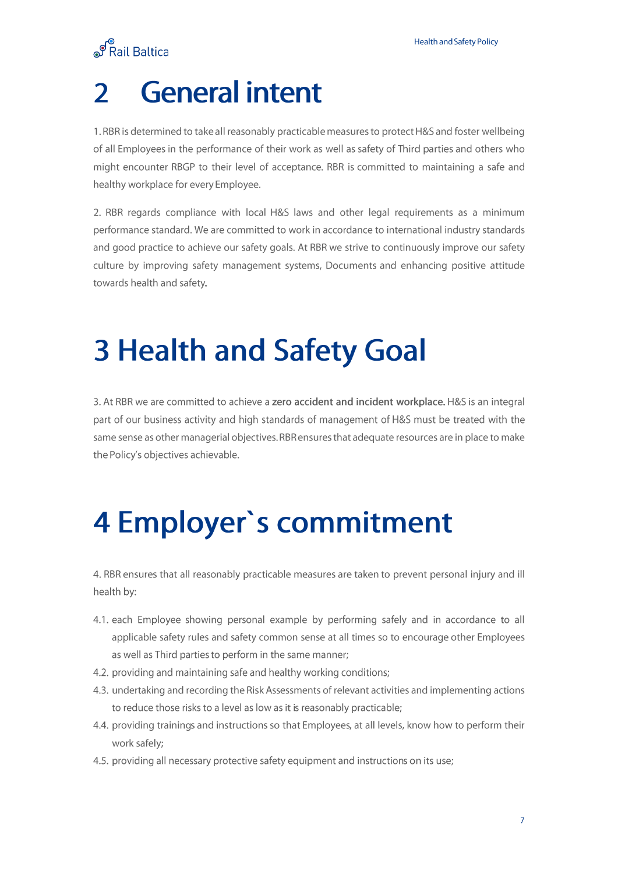**ூ**<br>Rail Baltica

# **2 General intent**

1. RBR is determined to take all reasonably practicable measures to protect H&S and foster wellbeing of all Employees in the performance of their work as well as safety of Third parties and others who might encounter RBGP to their level of acceptance. RBR is committed to maintaining a safe and healthy workplace for every Employee.

2. RBR regards compliance with local H&S laws and other legal requirements as a minimum performance standard. We are committed to work in accordance to international industry standards and good practice to achieve our safety goals. At RBR we strive to continuously improve our safety culture by improving safety management systems, Documents and enhancing positive attitude towards health and safety.

## **3 Health and Safety Goal**

3. At RBR we are committed to achieve a **zero accident and incident workplace.** H&S is an integral part of our business activity and high standards of management of H&S must be treated with the same sense as other managerial objectives. RBR ensures that adequate resources are in place to make the Policy's objectives achievable.

# **4 Employer's commitment**

4. RBR ensures that all reasonably practicable measures are taken to prevent personal injury and ill health by:

- 4.1. each Employee showing personal example by performing safely and in accordance to all applicable safety rules and safety common sense at all times so to encourage other Employees as well as Third parties to perform in the same manner;
- 4.2. providing and maintaining safe and healthy working conditions;
- 4.3. undertaking and recording the Risk Assessments of relevant activities and implementing actions to reduce those risks to a level as low as it is reasonably practicable;
- 4.4. providing trainings and instructions so that Employees, at all levels, know how to perform their work safely;
- 4.5. providing all necessary protective safety equipment and instructions on its use;